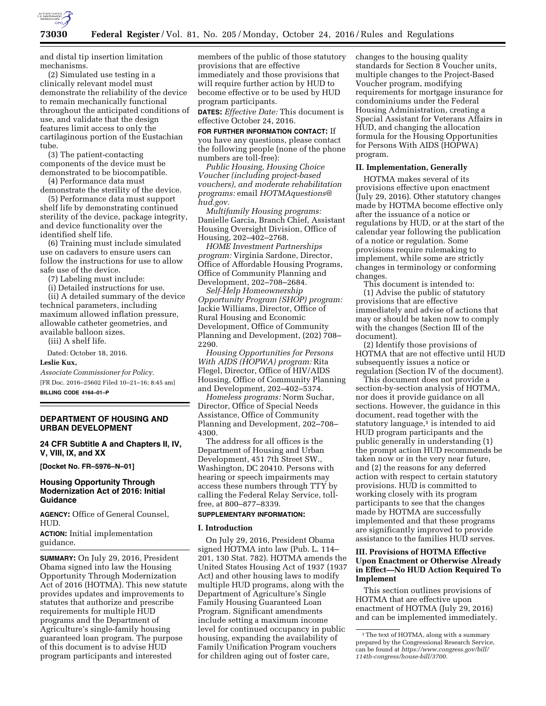

and distal tip insertion limitation mechanisms.

(2) Simulated use testing in a clinically relevant model must demonstrate the reliability of the device to remain mechanically functional throughout the anticipated conditions of use, and validate that the design features limit access to only the cartilaginous portion of the Eustachian tube.

(3) The patient-contacting components of the device must be demonstrated to be biocompatible.

(4) Performance data must demonstrate the sterility of the device.

(5) Performance data must support shelf life by demonstrating continued sterility of the device, package integrity, and device functionality over the identified shelf life.

(6) Training must include simulated use on cadavers to ensure users can follow the instructions for use to allow safe use of the device.

(7) Labeling must include:

(i) Detailed instructions for use.

(ii) A detailed summary of the device technical parameters, including maximum allowed inflation pressure, allowable catheter geometries, and available balloon sizes.

(iii) A shelf life.

Dated: October 18, 2016.

#### **Leslie Kux,**

*Associate Commissioner for Policy.*  [FR Doc. 2016–25602 Filed 10–21–16; 8:45 am] **BILLING CODE 4164–01–P** 

# **DEPARTMENT OF HOUSING AND URBAN DEVELOPMENT**

## **24 CFR Subtitle A and Chapters II, IV, V, VIII, IX, and XX**

**[Docket No. FR–5976–N–01]** 

### **Housing Opportunity Through Modernization Act of 2016: Initial Guidance**

**AGENCY:** Office of General Counsel, HUD.

**ACTION:** Initial implementation guidance.

**SUMMARY:** On July 29, 2016, President Obama signed into law the Housing Opportunity Through Modernization Act of 2016 (HOTMA). This new statute provides updates and improvements to statutes that authorize and prescribe requirements for multiple HUD programs and the Department of Agriculture's single-family housing guaranteed loan program. The purpose of this document is to advise HUD program participants and interested

members of the public of those statutory provisions that are effective immediately and those provisions that will require further action by HUD to become effective or to be used by HUD program participants.

**DATES:** *Effective Date:* This document is effective October 24, 2016.

**FOR FURTHER INFORMATION CONTACT:** If you have any questions, please contact the following people (none of the phone numbers are toll-free):

*Public Housing, Housing Choice Voucher (including project-based vouchers), and moderate rehabilitation programs:* email *HOTMAquestions@ hud.gov.* 

*Multifamily Housing programs:*  Danielle Garcia, Branch Chief, Assistant Housing Oversight Division, Office of Housing, 202–402–2768.

*HOME Investment Partnerships program:* Virginia Sardone, Director, Office of Affordable Housing Programs, Office of Community Planning and Development, 202–708–2684.

*Self-Help Homeownership Opportunity Program (SHOP) program:*  Jackie Williams, Director, Office of Rural Housing and Economic Development, Office of Community Planning and Development, (202) 708– 2290.

*Housing Opportunities for Persons With AIDS (HOPWA) program:* Rita Flegel, Director, Office of HIV/AIDS Housing, Office of Community Planning and Development, 202–402–5374.

*Homeless programs:* Norm Suchar, Director, Office of Special Needs Assistance, Office of Community Planning and Development, 202–708– 4300.

The address for all offices is the Department of Housing and Urban Development, 451 7th Street SW., Washington, DC 20410. Persons with hearing or speech impairments may access these numbers through TTY by calling the Federal Relay Service, tollfree, at 800–877–8339.

## **SUPPLEMENTARY INFORMATION:**

#### **I. Introduction**

On July 29, 2016, President Obama signed HOTMA into law (Pub. L. 114– 201, 130 Stat. 782). HOTMA amends the United States Housing Act of 1937 (1937 Act) and other housing laws to modify multiple HUD programs, along with the Department of Agriculture's Single Family Housing Guaranteed Loan Program. Significant amendments include setting a maximum income level for continued occupancy in public housing, expanding the availability of Family Unification Program vouchers for children aging out of foster care,

changes to the housing quality standards for Section 8 Voucher units, multiple changes to the Project-Based Voucher program, modifying requirements for mortgage insurance for condominiums under the Federal Housing Administration, creating a Special Assistant for Veterans Affairs in HUD, and changing the allocation formula for the Housing Opportunities for Persons With AIDS (HOPWA) program.

#### **II. Implementation, Generally**

HOTMA makes several of its provisions effective upon enactment (July 29, 2016). Other statutory changes made by HOTMA become effective only after the issuance of a notice or regulations by HUD, or at the start of the calendar year following the publication of a notice or regulation. Some provisions require rulemaking to implement, while some are strictly changes in terminology or conforming changes.

This document is intended to: (1) Advise the public of statutory provisions that are effective immediately and advise of actions that may or should be taken now to comply with the changes (Section III of the document).

(2) Identify those provisions of HOTMA that are not effective until HUD subsequently issues a notice or regulation (Section IV of the document).

This document does not provide a section-by-section analysis of HOTMA, nor does it provide guidance on all sections. However, the guidance in this document, read together with the statutory language, $1$  is intended to aid HUD program participants and the public generally in understanding (1) the prompt action HUD recommends be taken now or in the very near future, and (2) the reasons for any deferred action with respect to certain statutory provisions. HUD is committed to working closely with its program participants to see that the changes made by HOTMA are successfully implemented and that these programs are significantly improved to provide assistance to the families HUD serves.

## **III. Provisions of HOTMA Effective Upon Enactment or Otherwise Already in Effect—No HUD Action Required To Implement**

This section outlines provisions of HOTMA that are effective upon enactment of HOTMA (July 29, 2016) and can be implemented immediately.

<sup>1</sup>The text of HOTMA, along with a summary prepared by the Congressional Research Service, can be found at *https://www.congress.gov/bill/ 114th-congress/house-bill/3700.*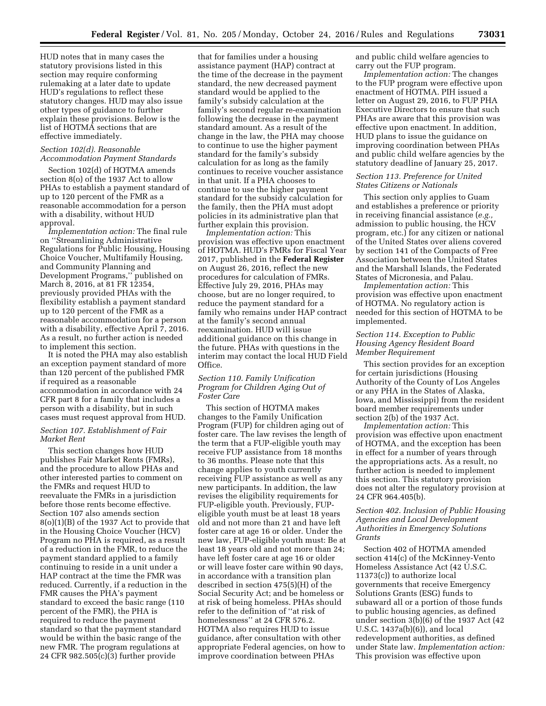HUD notes that in many cases the statutory provisions listed in this section may require conforming rulemaking at a later date to update HUD's regulations to reflect these statutory changes. HUD may also issue other types of guidance to further explain these provisions. Below is the list of HOTMA sections that are effective immediately.

#### *Section 102(d). Reasonable Accommodation Payment Standards*

Section 102(d) of HOTMA amends section 8(o) of the 1937 Act to allow PHAs to establish a payment standard of up to 120 percent of the FMR as a reasonable accommodation for a person with a disability, without HUD approval.

*Implementation action:* The final rule on ''Streamlining Administrative Regulations for Public Housing, Housing Choice Voucher, Multifamily Housing, and Community Planning and Development Programs,'' published on March 8, 2016, at 81 FR 12354, previously provided PHAs with the flexibility establish a payment standard up to 120 percent of the FMR as a reasonable accommodation for a person with a disability, effective April 7, 2016. As a result, no further action is needed to implement this section.

It is noted the PHA may also establish an exception payment standard of more than 120 percent of the published FMR if required as a reasonable accommodation in accordance with 24 CFR part 8 for a family that includes a person with a disability, but in such cases must request approval from HUD.

### *Section 107. Establishment of Fair Market Rent*

This section changes how HUD publishes Fair Market Rents (FMRs), and the procedure to allow PHAs and other interested parties to comment on the FMRs and request HUD to reevaluate the FMRs in a jurisdiction before those rents become effective. Section 107 also amends section 8(o)(1)(B) of the 1937 Act to provide that in the Housing Choice Voucher (HCV) Program no PHA is required, as a result of a reduction in the FMR, to reduce the payment standard applied to a family continuing to reside in a unit under a HAP contract at the time the FMR was reduced. Currently, if a reduction in the FMR causes the PHA's payment standard to exceed the basic range (110 percent of the FMR), the PHA is required to reduce the payment standard so that the payment standard would be within the basic range of the new FMR. The program regulations at 24 CFR 982.505(c)(3) further provide

that for families under a housing assistance payment (HAP) contract at the time of the decrease in the payment standard, the new decreased payment standard would be applied to the family's subsidy calculation at the family's second regular re-examination following the decrease in the payment standard amount. As a result of the change in the law, the PHA may choose to continue to use the higher payment standard for the family's subsidy calculation for as long as the family continues to receive voucher assistance in that unit. If a PHA chooses to continue to use the higher payment standard for the subsidy calculation for the family, then the PHA must adopt policies in its administrative plan that further explain this provision.

*Implementation action:* This provision was effective upon enactment of HOTMA. HUD's FMRs for Fiscal Year 2017, published in the **Federal Register**  on August 26, 2016, reflect the new procedures for calculation of FMRs. Effective July 29, 2016, PHAs may choose, but are no longer required, to reduce the payment standard for a family who remains under HAP contract at the family's second annual reexamination. HUD will issue additional guidance on this change in the future. PHAs with questions in the interim may contact the local HUD Field Office.

## *Section 110. Family Unification Program for Children Aging Out of Foster Care*

This section of HOTMA makes changes to the Family Unification Program (FUP) for children aging out of foster care. The law revises the length of the term that a FUP-eligible youth may receive FUP assistance from 18 months to 36 months. Please note that this change applies to youth currently receiving FUP assistance as well as any new participants. In addition, the law revises the eligibility requirements for FUP-eligible youth. Previously, FUPeligible youth must be at least 18 years old and not more than 21 and have left foster care at age 16 or older. Under the new law, FUP-eligible youth must: Be at least 18 years old and not more than 24; have left foster care at age 16 or older or will leave foster care within 90 days, in accordance with a transition plan described in section 475(5)(H) of the Social Security Act; and be homeless or at risk of being homeless. PHAs should refer to the definition of ''at risk of homelessness'' at 24 CFR 576.2. HOTMA also requires HUD to issue guidance, after consultation with other appropriate Federal agencies, on how to improve coordination between PHAs

and public child welfare agencies to carry out the FUP program.

*Implementation action:* The changes to the FUP program were effective upon enactment of HOTMA. PIH issued a letter on August 29, 2016, to FUP PHA Executive Directors to ensure that such PHAs are aware that this provision was effective upon enactment. In addition, HUD plans to issue the guidance on improving coordination between PHAs and public child welfare agencies by the statutory deadline of January 25, 2017.

## *Section 113. Preference for United States Citizens or Nationals*

This section only applies to Guam and establishes a preference or priority in receiving financial assistance (*e.g.,*  admission to public housing, the HCV program, etc.) for any citizen or national of the United States over aliens covered by section 141 of the Compacts of Free Association between the United States and the Marshall Islands, the Federated States of Micronesia, and Palau.

*Implementation action:* This provision was effective upon enactment of HOTMA. No regulatory action is needed for this section of HOTMA to be implemented.

## *Section 114. Exception to Public Housing Agency Resident Board Member Requirement*

This section provides for an exception for certain jurisdictions (Housing Authority of the County of Los Angeles or any PHA in the States of Alaska, Iowa, and Mississippi) from the resident board member requirements under section 2(b) of the 1937 Act.

*Implementation action:* This provision was effective upon enactment of HOTMA, and the exception has been in effect for a number of years through the appropriations acts. As a result, no further action is needed to implement this section. This statutory provision does not alter the regulatory provision at 24 CFR 964.405(b).

## *Section 402. Inclusion of Public Housing Agencies and Local Development Authorities in Emergency Solutions Grants*

Section 402 of HOTMA amended section 414(c) of the McKinney-Vento Homeless Assistance Act (42 U.S.C. 11373(c)) to authorize local governments that receive Emergency Solutions Grants (ESG) funds to subaward all or a portion of those funds to public housing agencies, as defined under section 3(b)(6) of the 1937 Act (42 U.S.C. 1437a(b)(6)), and local redevelopment authorities, as defined under State law. *Implementation action:*  This provision was effective upon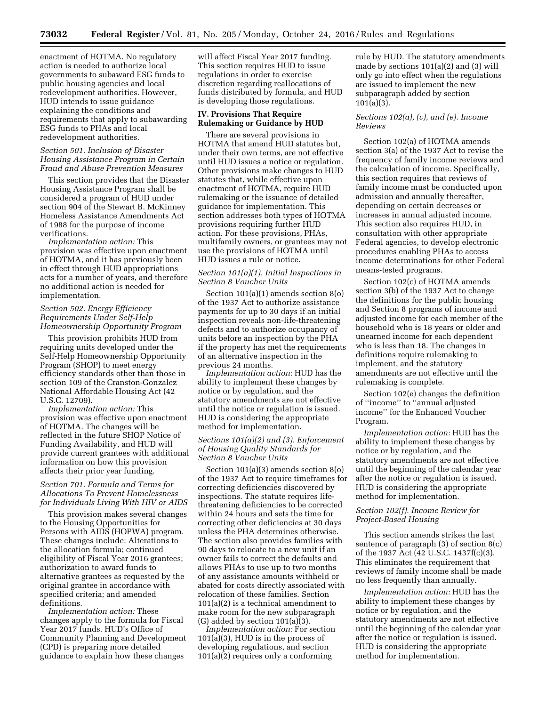enactment of HOTMA. No regulatory action is needed to authorize local governments to subaward ESG funds to public housing agencies and local redevelopment authorities. However, HUD intends to issue guidance explaining the conditions and requirements that apply to subawarding ESG funds to PHAs and local redevelopment authorities.

#### *Section 501. Inclusion of Disaster Housing Assistance Program in Certain Fraud and Abuse Prevention Measures*

This section provides that the Disaster Housing Assistance Program shall be considered a program of HUD under section 904 of the Stewart B. McKinney Homeless Assistance Amendments Act of 1988 for the purpose of income verifications.

*Implementation action:* This provision was effective upon enactment of HOTMA, and it has previously been in effect through HUD appropriations acts for a number of years, and therefore no additional action is needed for implementation.

### *Section 502. Energy Efficiency Requirements Under Self-Help Homeownership Opportunity Program*

This provision prohibits HUD from requiring units developed under the Self-Help Homeownership Opportunity Program (SHOP) to meet energy efficiency standards other than those in section 109 of the Cranston-Gonzalez National Affordable Housing Act (42 U.S.C. 12709).

*Implementation action:* This provision was effective upon enactment of HOTMA. The changes will be reflected in the future SHOP Notice of Funding Availability, and HUD will provide current grantees with additional information on how this provision affects their prior year funding.

## *Section 701. Formula and Terms for Allocations To Prevent Homelessness for Individuals Living With HIV or AIDS*

This provision makes several changes to the Housing Opportunities for Persons with AIDS (HOPWA) program. These changes include: Alterations to the allocation formula; continued eligibility of Fiscal Year 2016 grantees; authorization to award funds to alternative grantees as requested by the original grantee in accordance with specified criteria; and amended definitions.

*Implementation action:* These changes apply to the formula for Fiscal Year 2017 funds. HUD's Office of Community Planning and Development (CPD) is preparing more detailed guidance to explain how these changes

will affect Fiscal Year 2017 funding. This section requires HUD to issue regulations in order to exercise discretion regarding reallocations of funds distributed by formula, and HUD is developing those regulations.

## **IV. Provisions That Require Rulemaking or Guidance by HUD**

There are several provisions in HOTMA that amend HUD statutes but, under their own terms, are not effective until HUD issues a notice or regulation. Other provisions make changes to HUD statutes that, while effective upon enactment of HOTMA, require HUD rulemaking or the issuance of detailed guidance for implementation. This section addresses both types of HOTMA provisions requiring further HUD action. For these provisions, PHAs, multifamily owners, or grantees may not use the provisions of HOTMA until HUD issues a rule or notice.

## *Section 101(a)(1). Initial Inspections in Section 8 Voucher Units*

Section 101(a)(1) amends section 8(o) of the 1937 Act to authorize assistance payments for up to 30 days if an initial inspection reveals non-life-threatening defects and to authorize occupancy of units before an inspection by the PHA if the property has met the requirements of an alternative inspection in the previous 24 months.

*Implementation action:* HUD has the ability to implement these changes by notice or by regulation, and the statutory amendments are not effective until the notice or regulation is issued. HUD is considering the appropriate method for implementation.

## *Sections 101(a)(2) and (3). Enforcement of Housing Quality Standards for Section 8 Voucher Units*

Section 101(a)(3) amends section 8(o) of the 1937 Act to require timeframes for correcting deficiencies discovered by inspections. The statute requires lifethreatening deficiencies to be corrected within 24 hours and sets the time for correcting other deficiencies at 30 days unless the PHA determines otherwise. The section also provides families with 90 days to relocate to a new unit if an owner fails to correct the defaults and allows PHAs to use up to two months of any assistance amounts withheld or abated for costs directly associated with relocation of these families. Section 101(a)(2) is a technical amendment to make room for the new subparagraph (G) added by section  $101(a)\overline{(3)}$ .

*Implementation action:* For section 101(a)(3), HUD is in the process of developing regulations, and section 101(a)(2) requires only a conforming

rule by HUD. The statutory amendments made by sections 101(a)(2) and (3) will only go into effect when the regulations are issued to implement the new subparagraph added by section 101(a)(3).

#### *Sections 102(a), (c), and (e). Income Reviews*

Section 102(a) of HOTMA amends section 3(a) of the 1937 Act to revise the frequency of family income reviews and the calculation of income. Specifically, this section requires that reviews of family income must be conducted upon admission and annually thereafter, depending on certain decreases or increases in annual adjusted income. This section also requires HUD, in consultation with other appropriate Federal agencies, to develop electronic procedures enabling PHAs to access income determinations for other Federal means-tested programs.

Section 102(c) of HOTMA amends section 3(b) of the 1937 Act to change the definitions for the public housing and Section 8 programs of income and adjusted income for each member of the household who is 18 years or older and unearned income for each dependent who is less than 18. The changes in definitions require rulemaking to implement, and the statutory amendments are not effective until the rulemaking is complete.

Section 102(e) changes the definition of ''income'' to ''annual adjusted income'' for the Enhanced Voucher Program.

*Implementation action:* HUD has the ability to implement these changes by notice or by regulation, and the statutory amendments are not effective until the beginning of the calendar year after the notice or regulation is issued. HUD is considering the appropriate method for implementation.

### *Section 102(f). Income Review for Project-Based Housing*

This section amends strikes the last sentence of paragraph (3) of section 8(c) of the 1937 Act (42 U.S.C. 1437f(c)(3). This eliminates the requirement that reviews of family income shall be made no less frequently than annually.

*Implementation action:* HUD has the ability to implement these changes by notice or by regulation, and the statutory amendments are not effective until the beginning of the calendar year after the notice or regulation is issued. HUD is considering the appropriate method for implementation.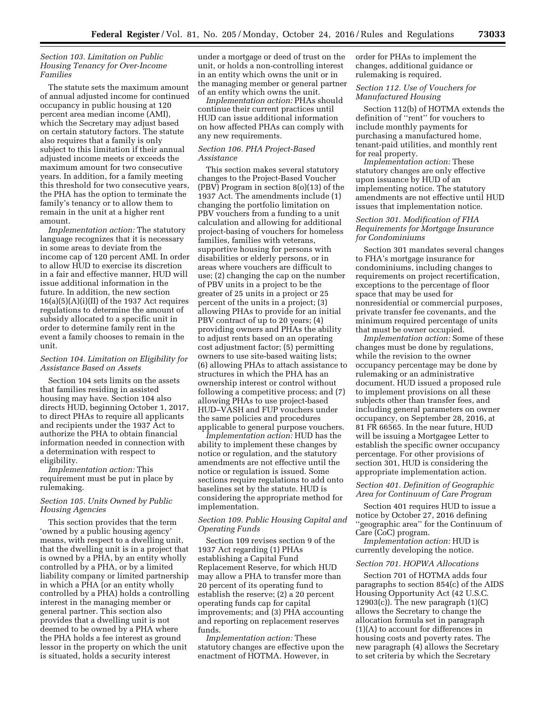### *Section 103. Limitation on Public Housing Tenancy for Over-Income Families*

The statute sets the maximum amount of annual adjusted income for continued occupancy in public housing at 120 percent area median income (AMI), which the Secretary may adjust based on certain statutory factors. The statute also requires that a family is only subject to this limitation if their annual adjusted income meets or exceeds the maximum amount for two consecutive years. In addition, for a family meeting this threshold for two consecutive years, the PHA has the option to terminate the family's tenancy or to allow them to remain in the unit at a higher rent amount.

*Implementation action:* The statutory language recognizes that it is necessary in some areas to deviate from the income cap of 120 percent AMI. In order to allow HUD to exercise its discretion in a fair and effective manner, HUD will issue additional information in the future. In addition, the new section  $16(a)(5)(A)(i)(II)$  of the 1937 Act requires regulations to determine the amount of subsidy allocated to a specific unit in order to determine family rent in the event a family chooses to remain in the unit.

## *Section 104. Limitation on Eligibility for Assistance Based on Assets*

Section 104 sets limits on the assets that families residing in assisted housing may have. Section 104 also directs HUD, beginning October 1, 2017, to direct PHAs to require all applicants and recipients under the 1937 Act to authorize the PHA to obtain financial information needed in connection with a determination with respect to eligibility.

*Implementation action:* This requirement must be put in place by rulemaking.

## *Section 105. Units Owned by Public Housing Agencies*

This section provides that the term 'owned by a public housing agency' means, with respect to a dwelling unit, that the dwelling unit is in a project that is owned by a PHA, by an entity wholly controlled by a PHA, or by a limited liability company or limited partnership in which a PHA (or an entity wholly controlled by a PHA) holds a controlling interest in the managing member or general partner. This section also provides that a dwelling unit is not deemed to be owned by a PHA where the PHA holds a fee interest as ground lessor in the property on which the unit is situated, holds a security interest

under a mortgage or deed of trust on the unit, or holds a non-controlling interest in an entity which owns the unit or in the managing member or general partner of an entity which owns the unit.

*Implementation action:* PHAs should continue their current practices until HUD can issue additional information on how affected PHAs can comply with any new requirements.

#### *Section 106. PHA Project-Based Assistance*

This section makes several statutory changes to the Project-Based Voucher (PBV) Program in section 8(o)(13) of the 1937 Act. The amendments include (1) changing the portfolio limitation on PBV vouchers from a funding to a unit calculation and allowing for additional project-basing of vouchers for homeless families, families with veterans, supportive housing for persons with disabilities or elderly persons, or in areas where vouchers are difficult to use; (2) changing the cap on the number of PBV units in a project to be the greater of 25 units in a project or 25 percent of the units in a project; (3) allowing PHAs to provide for an initial PBV contract of up to 20 years; (4) providing owners and PHAs the ability to adjust rents based on an operating cost adjustment factor; (5) permitting owners to use site-based waiting lists; (6) allowing PHAs to attach assistance to structures in which the PHA has an ownership interest or control without following a competitive process; and (7) allowing PHAs to use project-based HUD–VASH and FUP vouchers under the same policies and procedures applicable to general purpose vouchers.

*Implementation action:* HUD has the ability to implement these changes by notice or regulation, and the statutory amendments are not effective until the notice or regulation is issued. Some sections require regulations to add onto baselines set by the statute. HUD is considering the appropriate method for implementation.

#### *Section 109. Public Housing Capital and Operating Funds*

Section 109 revises section 9 of the 1937 Act regarding (1) PHAs establishing a Capital Fund Replacement Reserve, for which HUD may allow a PHA to transfer more than 20 percent of its operating fund to establish the reserve; (2) a 20 percent operating funds cap for capital improvements; and (3) PHA accounting and reporting on replacement reserves funds.

*Implementation action:* These statutory changes are effective upon the enactment of HOTMA. However, in

order for PHAs to implement the changes, additional guidance or rulemaking is required.

### *Section 112. Use of Vouchers for Manufactured Housing*

Section 112(b) of HOTMA extends the definition of ''rent'' for vouchers to include monthly payments for purchasing a manufactured home, tenant-paid utilities, and monthly rent for real property.

*Implementation action:* These statutory changes are only effective upon issuance by HUD of an implementing notice. The statutory amendments are not effective until HUD issues that implementation notice.

## *Section 301. Modification of FHA Requirements for Mortgage Insurance for Condominiums*

Section 301 mandates several changes to FHA's mortgage insurance for condominiums, including changes to requirements on project recertification, exceptions to the percentage of floor space that may be used for nonresidential or commercial purposes, private transfer fee covenants, and the minimum required percentage of units that must be owner occupied.

*Implementation action:* Some of these changes must be done by regulations, while the revision to the owner occupancy percentage may be done by rulemaking or an administrative document. HUD issued a proposed rule to implement provisions on all these subjects other than transfer fees, and including general parameters on owner occupancy, on September 28, 2016, at 81 FR 66565. In the near future, HUD will be issuing a Mortgagee Letter to establish the specific owner occupancy percentage. For other provisions of section 301, HUD is considering the appropriate implementation action.

#### *Section 401. Definition of Geographic Area for Continuum of Care Program*

Section 401 requires HUD to issue a notice by October 27, 2016 defining ''geographic area'' for the Continuum of Care (CoC) program.

*Implementation action:* HUD is currently developing the notice.

### *Section 701. HOPWA Allocations*

Section 701 of HOTMA adds four paragraphs to section 854(c) of the AIDS Housing Opportunity Act (42 U.S.C.  $12903(c)$ ). The new paragraph  $(1)(C)$ allows the Secretary to change the allocation formula set in paragraph (1)(A) to account for differences in housing costs and poverty rates. The new paragraph (4) allows the Secretary to set criteria by which the Secretary